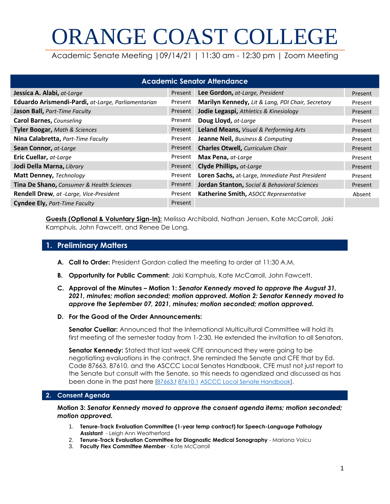# ORANGE COAST COLLEGE

Academic Senate Meeting |09/14/21 | 11:30 am - 12:30 pm | Zoom Meeting

| <b>Academic Senator Attendance</b>                   |         |                                                         |         |  |  |  |
|------------------------------------------------------|---------|---------------------------------------------------------|---------|--|--|--|
| Jessica A. Alabi, at-Large                           | Present | Lee Gordon, at-Large, President                         | Present |  |  |  |
| Eduardo Arismendi-Pardi, at-Large, Parliamentarian   | Present | Marilyn Kennedy, Lit & Lang, PDI Chair, Secretary       | Present |  |  |  |
| Jason Ball, Part-Time Faculty                        | Present | Jodie Legaspi, Athletics & Kinesiology                  | Present |  |  |  |
| <b>Carol Barnes, Counseling</b>                      | Present | Doug Lloyd, at-Large                                    | Present |  |  |  |
| Tyler Boogar, Math & Sciences                        | Present | Leland Means, Visual & Performing Arts                  | Present |  |  |  |
| Nina Calabretta, Part-Time Faculty                   | Present | <b>Jeanne Neil, Business &amp; Computing</b>            | Present |  |  |  |
| Sean Connor, at-Large                                | Present | <b>Charles Otwell, Curriculum Chair</b>                 | Present |  |  |  |
| <b>Eric Cuellar, at-Large</b>                        | Present | Max Pena, at-Large                                      | Present |  |  |  |
| Jodi Della Marna, Library                            | Present | <b>Clyde Phillips, at-Large</b>                         | Present |  |  |  |
| Matt Denney, Technology                              | Present | Loren Sachs, at-Large, Immediate Past President         | Present |  |  |  |
| <b>Tina De Shano, Consumer &amp; Health Sciences</b> | Present | <b>Jordan Stanton, Social &amp; Behavioral Sciences</b> | Present |  |  |  |
| Rendell Drew, at -Large, Vice-President              | Present | Katherine Smith, ASOCC Representative                   | Absent  |  |  |  |
| <b>Cyndee Ely, Part-Time Faculty</b>                 | Present |                                                         |         |  |  |  |

**Guests (Optional & Voluntary Sign-In):** Melissa Archibald, Nathan Jensen, Kate McCarroll, Jaki Kamphuis, John Fawcett, and Renee De Long.

### **1. Preliminary Matters**

- **A. Call to Order:** President Gordon called the meeting to order at 11:30 A.M.
- **B. Opportunity for Public Comment:** Jaki Kamphuis, Kate McCarroll, John Fawcett.
- **C. Approval of the Minutes – Motion 1:** *Senator Kennedy moved to approve the August 31, 2021, minutes; motion seconded; motion approved. Motion 2: Senator Kennedy moved to approve the September 07, 2021, minutes; motion seconded; motion approved.*
- **D. For the Good of the Order Announcements:**

**Senator Cuellar:** Announced that the International Multicultural Committee will hold its first meeting of the semester today from 1-2:30. He extended the invitation to all Senators.

**Senator Kennedy:** Stated that last week CFE announced they were going to be negotiating evaluations in the contract. She reminded the Senate and CFE that by Ed. Code 87663, 87610, and the ASCCC Local Senates Handbook, CFE must not just report to the Senate but consult with the Senate, so this needs to agendized and discussed as has been done in the past here [\[87663.f](https://leginfo.legislature.ca.gov/faces/codes_displaySection.xhtml?lawCode=EDC§ionNum=87663.#:~:text=(a)%20Contract%20employees%20shall%20be,in%20every%20three%20academic%20years.&text=(g)%20It%20is%20the%20intent,the%20extent%20practicable%2C%20student%20evaluation.) [87610.1](https://leginfo.legislature.ca.gov/faces/codes_displaySection.xhtml?lawCode=EDC§ionNum=87610.1.) [ASCCC Local Senate Handbook\]](https://www.asccc.org/sites/default/files/publications/Local_Senates_Handbook_2020_v2.pdf).

#### **2. Consent Agenda**

**Motion 3:** *Senator Kennedy moved to approve the consent agenda items; motion seconded; motion approved.*

- 1. **Tenure-Track Evaluation Committee (1-year temp contract) for Speech-Language Pathology Assistant** - Leigh Ann Weatherford
- 2. **Tenure-Track Evaluation Committee for Diagnostic Medical Sonography** Mariana Voicu
- 3. **Faculty Flex Committee Member** Kate McCarroll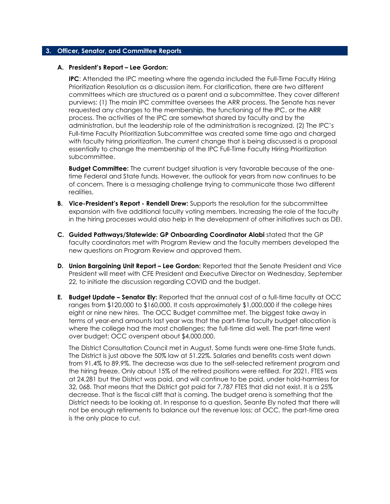#### **3. Officer, Senator, and Committee Reports**

#### **A. President's Report – Lee Gordon:**

**IPC**: Attended the IPC meeting where the agenda included the Full-Time Faculty Hiring Prioritization Resolution as a discussion item. For clarification, there are two different committees which are structured as a parent and a subcommittee. They cover different purviews: (1) The main IPC committee oversees the ARR process. The Senate has never requested any changes to the membership, the functioning of the IPC, or the ARR process. The activities of the IPC are somewhat shared by faculty and by the administration, but the leadership role of the administration is recognized. (2) The IPC's Full-time Faculty Prioritization Subcommittee was created some time ago and charged with faculty hiring prioritization. The current change that is being discussed is a proposal essentially to change the membership of the IPC Full-Time Faculty Hiring Prioritization subcommittee.

**Budget Committee:** The current budget situation is very favorable because of the onetime Federal and State funds. However, the outlook for years from now continues to be of concern. There is a messaging challenge trying to communicate those two different realities.

- **B. Vice-President's Report - Rendell Drew:** Supports the resolution for the subcommittee expansion with five additional faculty voting members. Increasing the role of the faculty in the hiring processes would also help in the development of other initiatives such as DEI.
- **C. Guided Pathways/Statewide: GP Onboarding Coordinator Alabi** stated that the GP faculty coordinators met with Program Review and the faculty members developed the new questions on Program Review and approved them.
- **D. Union Bargaining Unit Report – Lee Gordon:** Reported that the Senate President and Vice President will meet with CFE President and Executive Director on Wednesday, September 22, to initiate the discussion regarding COVID and the budget.
- **E. Budget Update – Senator Ely:** Reported that the annual cost of a full-time faculty at OCC ranges from \$120,000 to \$160,000. It costs approximately \$1,000,000 if the college hires eight or nine new hires. The OCC Budget committee met. The biggest take away in terms of year-end amounts last year was that the part-time faculty budget allocation is where the college had the most challenges; the full-time did well. The part-time went over budget; OCC overspent about \$4,000,000.

The District Consultation Council met in August. Some funds were one-time State funds. The District is just above the 50% law at 51.22%. Salaries and benefits costs went down from 91.4% to 89.9%. The decrease was due to the self-selected retirement program and the hiring freeze. Only about 15% of the retired positions were refilled. For 2021, FTES was at 24,281 but the District was paid, and will continue to be paid, under hold-harmless for 32, 068. That means that the District got paid for 7,787 FTES that did not exist. It is a 25% decrease. That is the fiscal cliff that is coming. The budget arena is something that the District needs to be looking at. In response to a question, Seante Ely noted that there will not be enough retirements to balance out the revenue loss; at OCC, the part-time area is the only place to cut.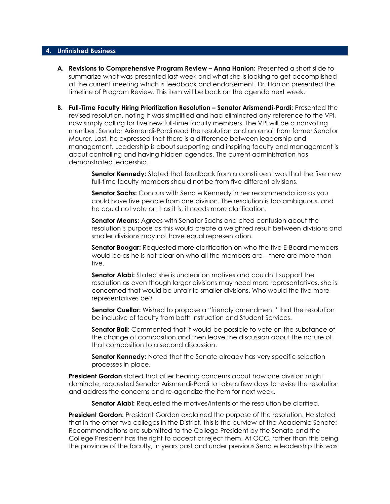#### **4. Unfinished Business**

- **A. Revisions to Comprehensive Program Review – Anna Hanlon:** Presented a short slide to summarize what was presented last week and what she is looking to get accomplished at the current meeting which is feedback and endorsement. Dr. Hanlon presented the timeline of Program Review. This item will be back on the agenda next week.
- **B. Full-Time Faculty Hiring Prioritization Resolution – Senator Arismendi-Pardi:** Presented the revised resolution, noting it was simplified and had eliminated any reference to the VPI, now simply calling for five new full-time faculty members. The VPI will be a nonvoting member. Senator Arismendi-Pardi read the resolution and an email from former Senator Maurer. Last, he expressed that there is a difference between leadership and management. Leadership is about supporting and inspiring faculty and management is about controlling and having hidden agendas. The current administration has demonstrated leadership.

**Senator Kennedy:** Stated that feedback from a constituent was that the five new full-time faculty members should not be from five different divisions.

**Senator Sachs:** Concurs with Senate Kennedy in her recommendation as you could have five people from one division. The resolution is too ambiguous, and he could not vote on it as it is; it needs more clarification.

**Senator Means:** Agrees with Senator Sachs and cited confusion about the resolution's purpose as this would create a weighted result between divisions and smaller divisions may not have equal representation.

**Senator Boogar:** Requested more clarification on who the five E-Board members would be as he is not clear on who all the members are—there are more than five.

**Senator Alabi:** Stated she is unclear on motives and couldn't support the resolution as even though larger divisions may need more representatives, she is concerned that would be unfair to smaller divisions. Who would the five more representatives be?

**Senator Cuellar:** Wished to propose a "friendly amendment" that the resolution be inclusive of faculty from both Instruction and Student Services.

**Senator Ball**: Commented that it would be possible to vote on the substance of the change of composition and then leave the discussion about the nature of that composition to a second discussion.

**Senator Kennedy:** Noted that the Senate already has very specific selection processes in place.

**President Gordon** stated that after hearing concerns about how one division might dominate, requested Senator Arismendi-Pardi to take a few days to revise the resolution and address the concerns and re-agendize the item for next week.

**Senator Alabi:** Requested the motives/intents of the resolution be clarified.

**President Gordon:** President Gordon explained the purpose of the resolution. He stated that in the other two colleges in the District, this is the purview of the Academic Senate: Recommendations are submitted to the College President by the Senate and the College President has the right to accept or reject them. At OCC, rather than this being the province of the faculty, in years past and under previous Senate leadership this was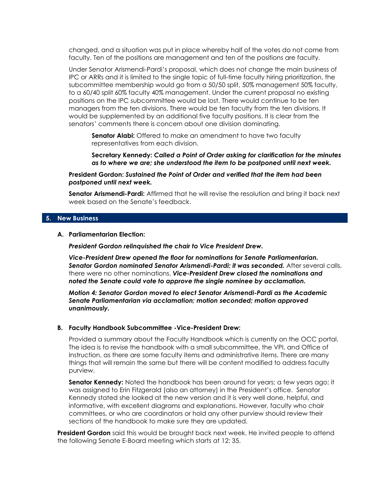changed, and a situation was put in place whereby half of the votes do not come from faculty. Ten of the positions are management and ten of the positions are faculty.

Under Senator Arismendi-Pardi's proposal, which does not change the main business of IPC or ARRs and it is limited to the single topic of full-time faculty hiring prioritization, the subcommittee membership would go from a 50/50 split, 50% management 50% faculty, to a 60/40 split 60% faculty 40% management. Under the current proposal no existing positions on the IPC subcommittee would be lost. There would continue to be ten managers from the ten divisions. There would be ten faculty from the ten divisions. It would be supplemented by an additional five faculty positions. It is clear from the senators' comments there is concern about one division dominating.

**Senator Alabi:** Offered to make an amendment to have two faculty representatives from each division.

**Secretary Kennedy:** *Called a Point of Order asking for clarification for the minutes as to where we are; she understood the item to be postponed until next week.*

**President Gordon:** *Sustained the Point of Order and verified that the item had been postponed until next week.*

**Senator Arismendi-Pardi:** Affirmed that he will revise the resolution and bring it back next week based on the Senate's feedback.

#### **5. New Business**

#### **A. Parliamentarian Election:**

*President Gordon relinquished the chair to Vice President Drew.* 

*Vice-President Drew opened the floor for nominations for Senate Parliamentarian. Senator Gordon nominated Senator Arismendi-Pardi; it was seconded.* After several calls, there were no other nominations. *Vice-President Drew closed the nominations and noted the Senate could vote to approve the single nominee by acclamation.*

*Motion 4: Senator Gordon moved to elect Senator Arismendi-Pardi as the Academic Senate Parliamentarian via acclamation; motion seconded; motion approved unanimously.* 

#### **B. Faculty Handbook Subcommittee -Vice-President Drew:**

Provided a summary about the Faculty Handbook which is currently on the OCC portal. The idea is to revise the handbook with a small subcommittee, the VPI, and Office of Instruction, as there are some faculty items and administrative items. There are many things that will remain the same but there will be content modified to address faculty purview.

**Senator Kennedy:** Noted the handbook has been around for years; a few years ago; it was assigned to Erin Fitzgerald (also an attorney) in the President's office. Senator Kennedy stated she looked at the new version and it is very well done, helpful, and informative, with excellent diagrams and explanations. However, faculty who chair committees, or who are coordinators or hold any other purview should review their sections of the handbook to make sure they are updated.

**President Gordon** said this would be brought back next week. He invited people to attend the following Senate E-Board meeting which starts at 12: 35.